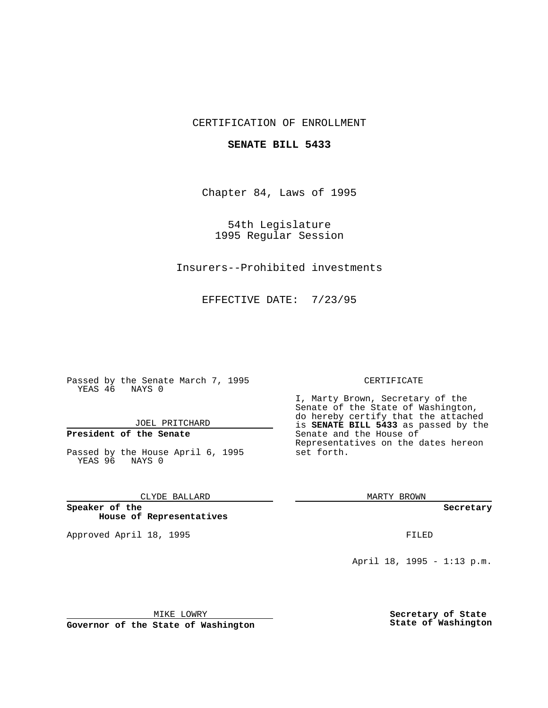## CERTIFICATION OF ENROLLMENT

### **SENATE BILL 5433**

Chapter 84, Laws of 1995

54th Legislature 1995 Regular Session

Insurers--Prohibited investments

EFFECTIVE DATE: 7/23/95

Passed by the Senate March 7, 1995 YEAS 46 NAYS 0

JOEL PRITCHARD

# **President of the Senate**

Passed by the House April 6, 1995 YEAS 96 NAYS 0

CLYDE BALLARD

**Speaker of the House of Representatives**

Approved April 18, 1995 FILED

#### CERTIFICATE

I, Marty Brown, Secretary of the Senate of the State of Washington, do hereby certify that the attached is **SENATE BILL 5433** as passed by the Senate and the House of Representatives on the dates hereon set forth.

MARTY BROWN

**Secretary**

April 18, 1995 - 1:13 p.m.

MIKE LOWRY

**Governor of the State of Washington**

**Secretary of State State of Washington**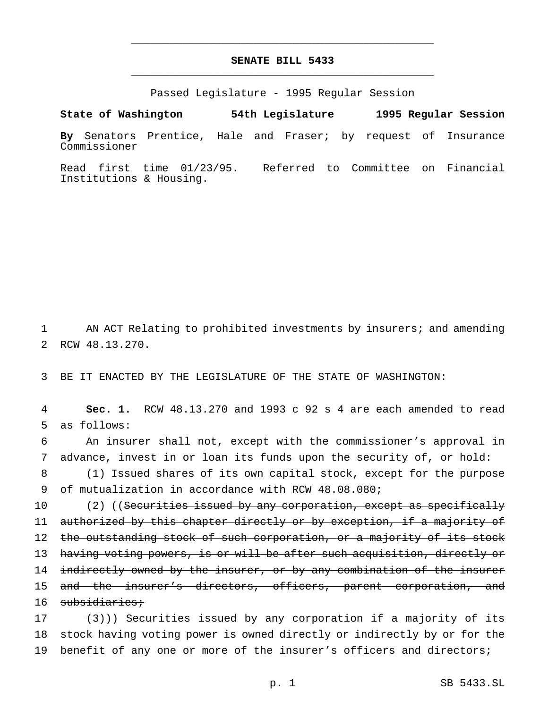# **SENATE BILL 5433** \_\_\_\_\_\_\_\_\_\_\_\_\_\_\_\_\_\_\_\_\_\_\_\_\_\_\_\_\_\_\_\_\_\_\_\_\_\_\_\_\_\_\_\_\_\_\_

\_\_\_\_\_\_\_\_\_\_\_\_\_\_\_\_\_\_\_\_\_\_\_\_\_\_\_\_\_\_\_\_\_\_\_\_\_\_\_\_\_\_\_\_\_\_\_

Passed Legislature - 1995 Regular Session

**State of Washington 54th Legislature 1995 Regular Session By** Senators Prentice, Hale and Fraser; by request of Insurance Commissioner

Read first time 01/23/95. Referred to Committee on Financial Institutions & Housing.

1 AN ACT Relating to prohibited investments by insurers; and amending 2 RCW 48.13.270.

3 BE IT ENACTED BY THE LEGISLATURE OF THE STATE OF WASHINGTON:

4 **Sec. 1.** RCW 48.13.270 and 1993 c 92 s 4 are each amended to read 5 as follows:

6 An insurer shall not, except with the commissioner's approval in 7 advance, invest in or loan its funds upon the security of, or hold:

8 (1) Issued shares of its own capital stock, except for the purpose 9 of mutualization in accordance with RCW 48.08.080;

10 (2) ((Securities issued by any corporation, except as specifically 11 authorized by this chapter directly or by exception, if a majority of 12 the outstanding stock of such corporation, or a majority of its stock 13 having voting powers, is or will be after such acquisition, directly or 14 indirectly owned by the insurer, or by any combination of the insurer 15 and the insurer's directors, officers, parent corporation, and 16 subsidiaries;

17  $(3)$ )) Securities issued by any corporation if a majority of its 18 stock having voting power is owned directly or indirectly by or for the 19 benefit of any one or more of the insurer's officers and directors;